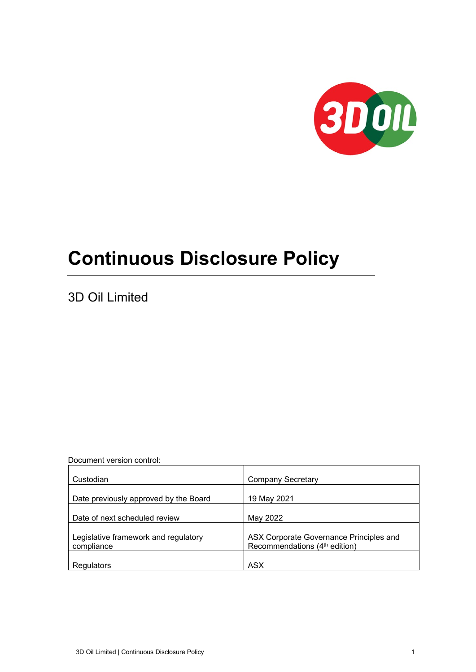

# **Continuous Disclosure Policy**

3D Oil Limited

Document version control:

| Custodian                                          | <b>Company Secretary</b>                                                             |
|----------------------------------------------------|--------------------------------------------------------------------------------------|
| Date previously approved by the Board              | 19 May 2021                                                                          |
| Date of next scheduled review                      | May 2022                                                                             |
|                                                    |                                                                                      |
| Legislative framework and regulatory<br>compliance | ASX Corporate Governance Principles and<br>Recommendations (4 <sup>th</sup> edition) |
|                                                    |                                                                                      |
| Regulators                                         | <b>ASX</b>                                                                           |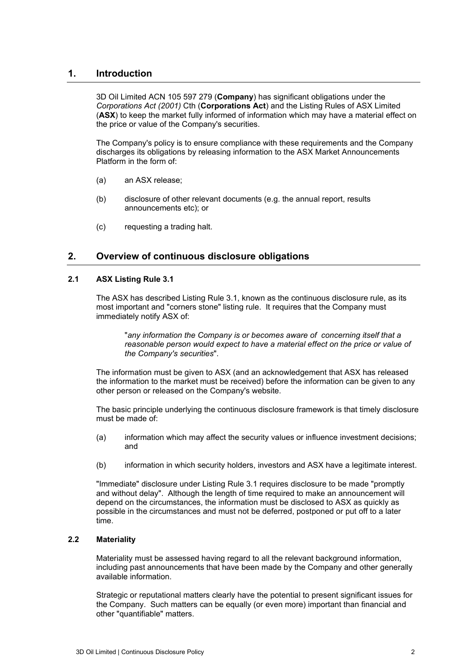# **1. Introduction**

3D Oil Limited ACN 105 597 279 (**Company**) has significant obligations under the *Corporations Act (2001)* Cth (**Corporations Act**) and the Listing Rules of ASX Limited (**ASX**) to keep the market fully informed of information which may have a material effect on the price or value of the Company's securities.

The Company's policy is to ensure compliance with these requirements and the Company discharges its obligations by releasing information to the ASX Market Announcements Platform in the form of:

- (a) an ASX release;
- (b) disclosure of other relevant documents (e.g. the annual report, results announcements etc); or
- (c) requesting a trading halt.

# **2. Overview of continuous disclosure obligations**

#### **2.1 ASX Listing Rule 3.1**

The ASX has described Listing Rule 3.1, known as the continuous disclosure rule, as its most important and "corners stone" listing rule. It requires that the Company must immediately notify ASX of:

"*any information the Company is or becomes aware of concerning itself that a reasonable person would expect to have a material effect on the price or value of the Company's securities*".

The information must be given to ASX (and an acknowledgement that ASX has released the information to the market must be received) before the information can be given to any other person or released on the Company's website.

The basic principle underlying the continuous disclosure framework is that timely disclosure must be made of:

- (a) information which may affect the security values or influence investment decisions; and
- (b) information in which security holders, investors and ASX have a legitimate interest.

"Immediate" disclosure under Listing Rule 3.1 requires disclosure to be made "promptly and without delay". Although the length of time required to make an announcement will depend on the circumstances, the information must be disclosed to ASX as quickly as possible in the circumstances and must not be deferred, postponed or put off to a later time.

### **2.2 Materiality**

Materiality must be assessed having regard to all the relevant background information, including past announcements that have been made by the Company and other generally available information.

Strategic or reputational matters clearly have the potential to present significant issues for the Company. Such matters can be equally (or even more) important than financial and other "quantifiable" matters.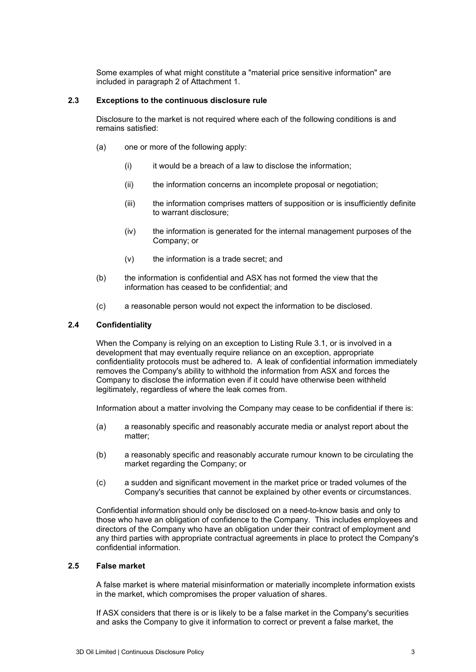Some examples of what might constitute a "material price sensitive information" are included in paragraph [2](#page-16-0) of Attachment [1.](#page-16-1)

#### <span id="page-2-0"></span>**2.3 Exceptions to the continuous disclosure rule**

Disclosure to the market is not required where each of the following conditions is and remains satisfied:

- (a) one or more of the following apply:
	- $(i)$  it would be a breach of a law to disclose the information;
	- (ii) the information concerns an incomplete proposal or negotiation;
	- (iii) the information comprises matters of supposition or is insufficiently definite to warrant disclosure;
	- (iv) the information is generated for the internal management purposes of the Company; or
	- (v) the information is a trade secret; and
- (b) the information is confidential and ASX has not formed the view that the information has ceased to be confidential; and
- (c) a reasonable person would not expect the information to be disclosed.

#### **2.4 Confidentiality**

When the Company is relying on an exception to Listing Rule 3.1, or is involved in a development that may eventually require reliance on an exception, appropriate confidentiality protocols must be adhered to. A leak of confidential information immediately removes the Company's ability to withhold the information from ASX and forces the Company to disclose the information even if it could have otherwise been withheld legitimately, regardless of where the leak comes from.

Information about a matter involving the Company may cease to be confidential if there is:

- (a) a reasonably specific and reasonably accurate media or analyst report about the matter;
- (b) a reasonably specific and reasonably accurate rumour known to be circulating the market regarding the Company; or
- (c) a sudden and significant movement in the market price or traded volumes of the Company's securities that cannot be explained by other events or circumstances.

Confidential information should only be disclosed on a need-to-know basis and only to those who have an obligation of confidence to the Company. This includes employees and directors of the Company who have an obligation under their contract of employment and any third parties with appropriate contractual agreements in place to protect the Company's confidential information.

#### **2.5 False market**

A false market is where material misinformation or materially incomplete information exists in the market, which compromises the proper valuation of shares.

If ASX considers that there is or is likely to be a false market in the Company's securities and asks the Company to give it information to correct or prevent a false market, the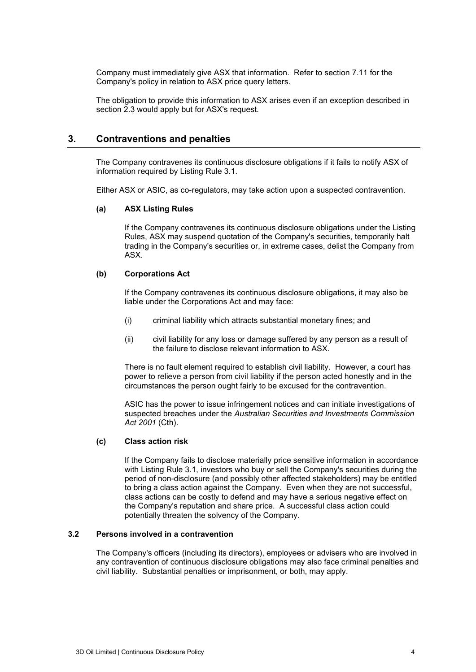Company must immediately give ASX that information. Refer to section [7.11](#page-10-0) for the Company's policy in relation to ASX price query letters.

The obligation to provide this information to ASX arises even if an exception described in section [2.3](#page-2-0) would apply but for ASX's request.

# **3. Contraventions and penalties**

The Company contravenes its continuous disclosure obligations if it fails to notify ASX of information required by Listing Rule 3.1.

Either ASX or ASIC, as co-regulators, may take action upon a suspected contravention.

#### **(a) ASX Listing Rules**

If the Company contravenes its continuous disclosure obligations under the Listing Rules, ASX may suspend quotation of the Company's securities, temporarily halt trading in the Company's securities or, in extreme cases, delist the Company from ASX.

#### **(b) Corporations Act**

If the Company contravenes its continuous disclosure obligations, it may also be liable under the Corporations Act and may face:

- (i) criminal liability which attracts substantial monetary fines; and
- (ii) civil liability for any loss or damage suffered by any person as a result of the failure to disclose relevant information to ASX.

There is no fault element required to establish civil liability. However, a court has power to relieve a person from civil liability if the person acted honestly and in the circumstances the person ought fairly to be excused for the contravention.

ASIC has the power to issue infringement notices and can initiate investigations of suspected breaches under the *Australian Securities and Investments Commission Act 2001* (Cth).

#### **(c) Class action risk**

If the Company fails to disclose materially price sensitive information in accordance with Listing Rule 3.1, investors who buy or sell the Company's securities during the period of non-disclosure (and possibly other affected stakeholders) may be entitled to bring a class action against the Company. Even when they are not successful, class actions can be costly to defend and may have a serious negative effect on the Company's reputation and share price. A successful class action could potentially threaten the solvency of the Company.

#### **3.2 Persons involved in a contravention**

The Company's officers (including its directors), employees or advisers who are involved in any contravention of continuous disclosure obligations may also face criminal penalties and civil liability. Substantial penalties or imprisonment, or both, may apply.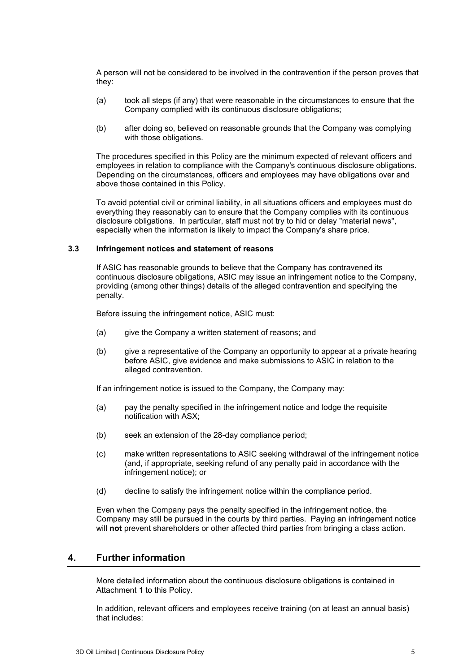A person will not be considered to be involved in the contravention if the person proves that they:

- (a) took all steps (if any) that were reasonable in the circumstances to ensure that the Company complied with its continuous disclosure obligations;
- (b) after doing so, believed on reasonable grounds that the Company was complying with those obligations.

The procedures specified in this Policy are the minimum expected of relevant officers and employees in relation to compliance with the Company's continuous disclosure obligations. Depending on the circumstances, officers and employees may have obligations over and above those contained in this Policy.

To avoid potential civil or criminal liability, in all situations officers and employees must do everything they reasonably can to ensure that the Company complies with its continuous disclosure obligations. In particular, staff must not try to hid or delay "material news", especially when the information is likely to impact the Company's share price.

#### **3.3 Infringement notices and statement of reasons**

If ASIC has reasonable grounds to believe that the Company has contravened its continuous disclosure obligations, ASIC may issue an infringement notice to the Company, providing (among other things) details of the alleged contravention and specifying the penalty.

Before issuing the infringement notice, ASIC must:

- (a) give the Company a written statement of reasons; and
- (b) give a representative of the Company an opportunity to appear at a private hearing before ASIC, give evidence and make submissions to ASIC in relation to the alleged contravention.

If an infringement notice is issued to the Company, the Company may:

- (a) pay the penalty specified in the infringement notice and lodge the requisite notification with ASX;
- (b) seek an extension of the 28-day compliance period;
- (c) make written representations to ASIC seeking withdrawal of the infringement notice (and, if appropriate, seeking refund of any penalty paid in accordance with the infringement notice); or
- (d) decline to satisfy the infringement notice within the compliance period.

Even when the Company pays the penalty specified in the infringement notice, the Company may still be pursued in the courts by third parties. Paying an infringement notice will **not** prevent shareholders or other affected third parties from bringing a class action.

# **4. Further information**

More detailed information about the continuous disclosure obligations is contained in Attachment [1](#page-16-1) to this Policy.

In addition, relevant officers and employees receive training (on at least an annual basis) that includes: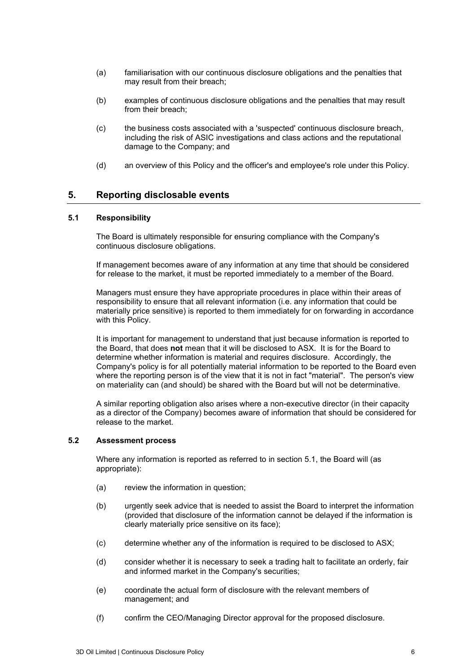- (a) familiarisation with our continuous disclosure obligations and the penalties that may result from their breach;
- (b) examples of continuous disclosure obligations and the penalties that may result from their breach;
- (c) the business costs associated with a 'suspected' continuous disclosure breach, including the risk of ASIC investigations and class actions and the reputational damage to the Company; and
- (d) an overview of this Policy and the officer's and employee's role under this Policy.

# **5. Reporting disclosable events**

#### <span id="page-5-0"></span>**5.1 Responsibility**

The Board is ultimately responsible for ensuring compliance with the Company's continuous disclosure obligations.

If management becomes aware of any information at any time that should be considered for release to the market, it must be reported immediately to a member of the Board.

Managers must ensure they have appropriate procedures in place within their areas of responsibility to ensure that all relevant information (i.e. any information that could be materially price sensitive) is reported to them immediately for on forwarding in accordance with this Policy.

It is important for management to understand that just because information is reported to the Board, that does **not** mean that it will be disclosed to ASX. It is for the Board to determine whether information is material and requires disclosure. Accordingly, the Company's policy is for all potentially material information to be reported to the Board even where the reporting person is of the view that it is not in fact "material". The person's view on materiality can (and should) be shared with the Board but will not be determinative.

A similar reporting obligation also arises where a non-executive director (in their capacity as a director of the Company) becomes aware of information that should be considered for release to the market.

### **5.2 Assessment process**

Where any information is reported as referred to in section [5.1,](#page-5-0) the Board will (as appropriate):

- (a) review the information in question;
- (b) urgently seek advice that is needed to assist the Board to interpret the information (provided that disclosure of the information cannot be delayed if the information is clearly materially price sensitive on its face);
- (c) determine whether any of the information is required to be disclosed to ASX;
- (d) consider whether it is necessary to seek a trading halt to facilitate an orderly, fair and informed market in the Company's securities;
- (e) coordinate the actual form of disclosure with the relevant members of management; and
- (f) confirm the CEO/Managing Director approval for the proposed disclosure.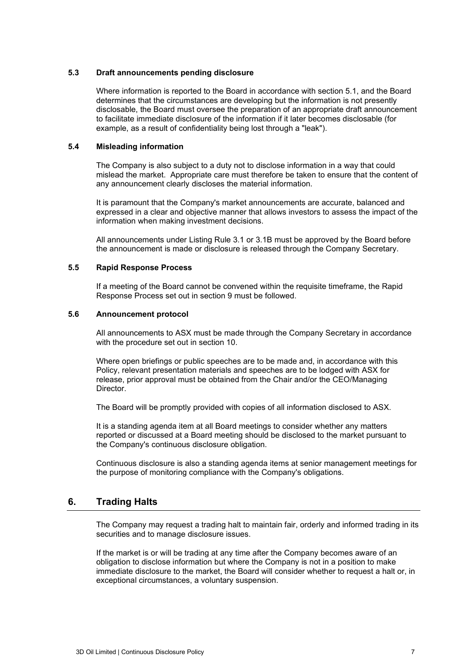#### **5.3 Draft announcements pending disclosure**

Where information is reported to the Board in accordance with section [5.1,](#page-5-0) and the Board determines that the circumstances are developing but the information is not presently disclosable, the Board must oversee the preparation of an appropriate draft announcement to facilitate immediate disclosure of the information if it later becomes disclosable (for example, as a result of confidentiality being lost through a "leak").

#### **5.4 Misleading information**

The Company is also subject to a duty not to disclose information in a way that could mislead the market. Appropriate care must therefore be taken to ensure that the content of any announcement clearly discloses the material information.

It is paramount that the Company's market announcements are accurate, balanced and expressed in a clear and objective manner that allows investors to assess the impact of the information when making investment decisions.

All announcements under Listing Rule 3.1 or 3.1B must be approved by the Board before the announcement is made or disclosure is released through the Company Secretary.

#### **5.5 Rapid Response Process**

If a meeting of the Board cannot be convened within the requisite timeframe, the Rapid Response Process set out in section [9](#page-12-0) must be followed.

#### **5.6 Announcement protocol**

All announcements to ASX must be made through the Company Secretary in accordance with the procedure set out in section [10.](#page-13-0)

Where open briefings or public speeches are to be made and, in accordance with this Policy, relevant presentation materials and speeches are to be lodged with ASX for release, prior approval must be obtained from the Chair and/or the CEO/Managing Director.

The Board will be promptly provided with copies of all information disclosed to ASX.

It is a standing agenda item at all Board meetings to consider whether any matters reported or discussed at a Board meeting should be disclosed to the market pursuant to the Company's continuous disclosure obligation.

Continuous disclosure is also a standing agenda items at senior management meetings for the purpose of monitoring compliance with the Company's obligations.

# **6. Trading Halts**

The Company may request a trading halt to maintain fair, orderly and informed trading in its securities and to manage disclosure issues.

If the market is or will be trading at any time after the Company becomes aware of an obligation to disclose information but where the Company is not in a position to make immediate disclosure to the market, the Board will consider whether to request a halt or, in exceptional circumstances, a voluntary suspension.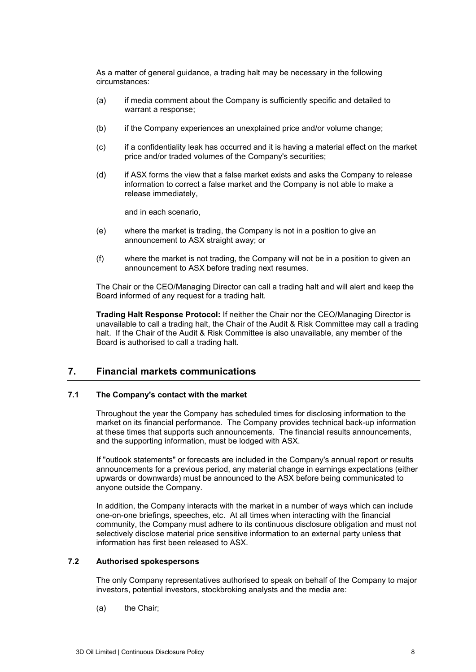As a matter of general guidance, a trading halt may be necessary in the following circumstances:

- (a) if media comment about the Company is sufficiently specific and detailed to warrant a response;
- (b) if the Company experiences an unexplained price and/or volume change;
- (c) if a confidentiality leak has occurred and it is having a material effect on the market price and/or traded volumes of the Company's securities;
- (d) if ASX forms the view that a false market exists and asks the Company to release information to correct a false market and the Company is not able to make a release immediately,

and in each scenario,

- (e) where the market is trading, the Company is not in a position to give an announcement to ASX straight away; or
- (f) where the market is not trading, the Company will not be in a position to given an announcement to ASX before trading next resumes.

The Chair or the CEO/Managing Director can call a trading halt and will alert and keep the Board informed of any request for a trading halt.

**Trading Halt Response Protocol:** If neither the Chair nor the CEO/Managing Director is unavailable to call a trading halt, the Chair of the Audit & Risk Committee may call a trading halt. If the Chair of the Audit & Risk Committee is also unavailable, any member of the Board is authorised to call a trading halt.

# <span id="page-7-0"></span>**7. Financial markets communications**

#### **7.1 The Company's contact with the market**

Throughout the year the Company has scheduled times for disclosing information to the market on its financial performance. The Company provides technical back-up information at these times that supports such announcements. The financial results announcements, and the supporting information, must be lodged with ASX.

If "outlook statements" or forecasts are included in the Company's annual report or results announcements for a previous period, any material change in earnings expectations (either upwards or downwards) must be announced to the ASX before being communicated to anyone outside the Company.

In addition, the Company interacts with the market in a number of ways which can include one-on-one briefings, speeches, etc. At all times when interacting with the financial community, the Company must adhere to its continuous disclosure obligation and must not selectively disclose material price sensitive information to an external party unless that information has first been released to ASX.

#### **7.2 Authorised spokespersons**

The only Company representatives authorised to speak on behalf of the Company to major investors, potential investors, stockbroking analysts and the media are:

(a) the Chair;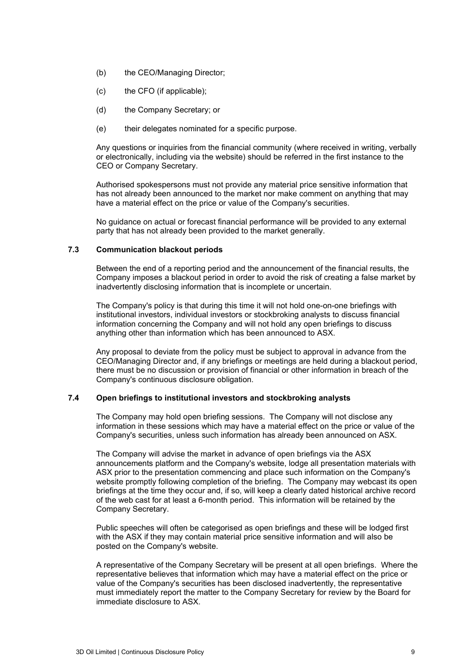- (b) the CEO/Managing Director;
- (c) the CFO (if applicable);
- (d) the Company Secretary; or
- (e) their delegates nominated for a specific purpose.

Any questions or inquiries from the financial community (where received in writing, verbally or electronically, including via the website) should be referred in the first instance to the CEO or Company Secretary.

Authorised spokespersons must not provide any material price sensitive information that has not already been announced to the market nor make comment on anything that may have a material effect on the price or value of the Company's securities.

No guidance on actual or forecast financial performance will be provided to any external party that has not already been provided to the market generally.

#### **7.3 Communication blackout periods**

Between the end of a reporting period and the announcement of the financial results, the Company imposes a blackout period in order to avoid the risk of creating a false market by inadvertently disclosing information that is incomplete or uncertain.

The Company's policy is that during this time it will not hold one-on-one briefings with institutional investors, individual investors or stockbroking analysts to discuss financial information concerning the Company and will not hold any open briefings to discuss anything other than information which has been announced to ASX.

Any proposal to deviate from the policy must be subject to approval in advance from the CEO/Managing Director and, if any briefings or meetings are held during a blackout period, there must be no discussion or provision of financial or other information in breach of the Company's continuous disclosure obligation.

#### **7.4 Open briefings to institutional investors and stockbroking analysts**

The Company may hold open briefing sessions. The Company will not disclose any information in these sessions which may have a material effect on the price or value of the Company's securities, unless such information has already been announced on ASX.

The Company will advise the market in advance of open briefings via the ASX announcements platform and the Company's website, lodge all presentation materials with ASX prior to the presentation commencing and place such information on the Company's website promptly following completion of the briefing. The Company may webcast its open briefings at the time they occur and, if so, will keep a clearly dated historical archive record of the web cast for at least a 6-month period. This information will be retained by the Company Secretary.

Public speeches will often be categorised as open briefings and these will be lodged first with the ASX if they may contain material price sensitive information and will also be posted on the Company's website.

A representative of the Company Secretary will be present at all open briefings. Where the representative believes that information which may have a material effect on the price or value of the Company's securities has been disclosed inadvertently, the representative must immediately report the matter to the Company Secretary for review by the Board for immediate disclosure to ASX.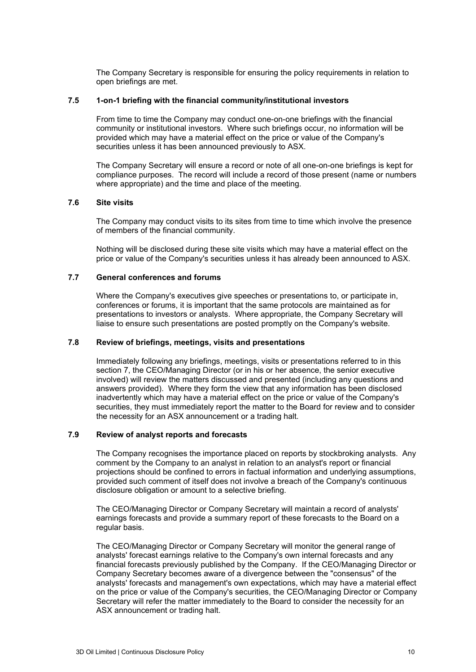The Company Secretary is responsible for ensuring the policy requirements in relation to open briefings are met.

#### **7.5 1-on-1 briefing with the financial community/institutional investors**

From time to time the Company may conduct one-on-one briefings with the financial community or institutional investors. Where such briefings occur, no information will be provided which may have a material effect on the price or value of the Company's securities unless it has been announced previously to ASX.

The Company Secretary will ensure a record or note of all one-on-one briefings is kept for compliance purposes. The record will include a record of those present (name or numbers where appropriate) and the time and place of the meeting.

#### **7.6 Site visits**

The Company may conduct visits to its sites from time to time which involve the presence of members of the financial community.

Nothing will be disclosed during these site visits which may have a material effect on the price or value of the Company's securities unless it has already been announced to ASX.

#### **7.7 General conferences and forums**

Where the Company's executives give speeches or presentations to, or participate in, conferences or forums, it is important that the same protocols are maintained as for presentations to investors or analysts. Where appropriate, the Company Secretary will liaise to ensure such presentations are posted promptly on the Company's website.

#### **7.8 Review of briefings, meetings, visits and presentations**

Immediately following any briefings, meetings, visits or presentations referred to in this section [7,](#page-7-0) the CEO/Managing Director (or in his or her absence, the senior executive involved) will review the matters discussed and presented (including any questions and answers provided). Where they form the view that any information has been disclosed inadvertently which may have a material effect on the price or value of the Company's securities, they must immediately report the matter to the Board for review and to consider the necessity for an ASX announcement or a trading halt.

### **7.9 Review of analyst reports and forecasts**

The Company recognises the importance placed on reports by stockbroking analysts. Any comment by the Company to an analyst in relation to an analyst's report or financial projections should be confined to errors in factual information and underlying assumptions, provided such comment of itself does not involve a breach of the Company's continuous disclosure obligation or amount to a selective briefing.

The CEO/Managing Director or Company Secretary will maintain a record of analysts' earnings forecasts and provide a summary report of these forecasts to the Board on a regular basis.

The CEO/Managing Director or Company Secretary will monitor the general range of analysts' forecast earnings relative to the Company's own internal forecasts and any financial forecasts previously published by the Company. If the CEO/Managing Director or Company Secretary becomes aware of a divergence between the "consensus" of the analysts' forecasts and management's own expectations, which may have a material effect on the price or value of the Company's securities, the CEO/Managing Director or Company Secretary will refer the matter immediately to the Board to consider the necessity for an ASX announcement or trading halt.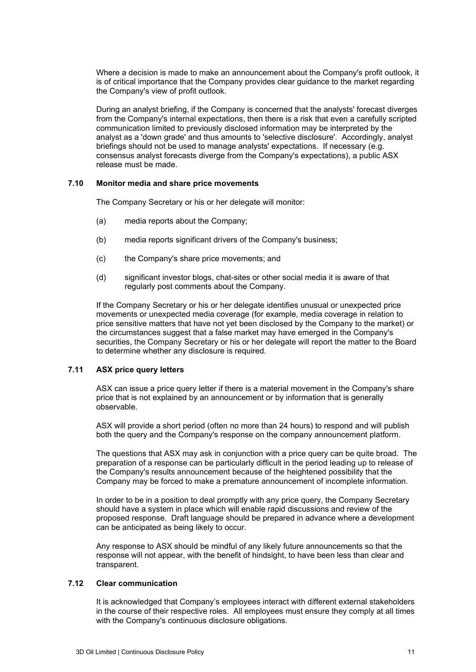Where a decision is made to make an announcement about the Company's profit outlook, it is of critical importance that the Company provides clear guidance to the market regarding the Company's view of profit outlook.

During an analyst briefing, if the Company is concerned that the analysts' forecast diverges from the Company's internal expectations, then there is a risk that even a carefully scripted communication limited to previously disclosed information may be interpreted by the analyst as a 'down grade' and thus amounts to 'selective disclosure'. Accordingly, analyst briefings should not be used to manage analysts' expectations. If necessary (e.g. consensus analyst forecasts diverge from the Company's expectations), a public ASX release must be made.

#### **7.10 Monitor media and share price movements**

The Company Secretary or his or her delegate will monitor:

- (a) media reports about the Company;
- (b) media reports significant drivers of the Company's business;
- (c) the Company's share price movements; and
- (d) significant investor blogs, chat-sites or other social media it is aware of that regularly post comments about the Company.

If the Company Secretary or his or her delegate identifies unusual or unexpected price movements or unexpected media coverage (for example, media coverage in relation to price sensitive matters that have not yet been disclosed by the Company to the market) or the circumstances suggest that a false market may have emerged in the Company's securities, the Company Secretary or his or her delegate will report the matter to the Board to determine whether any disclosure is required.

#### <span id="page-10-0"></span>**7.11 ASX price query letters**

ASX can issue a price query letter if there is a material movement in the Company's share price that is not explained by an announcement or by information that is generally observable.

ASX will provide a short period (often no more than 24 hours) to respond and will publish both the query and the Company's response on the company announcement platform.

The questions that ASX may ask in conjunction with a price query can be quite broad. The preparation of a response can be particularly difficult in the period leading up to release of the Company's results announcement because of the heightened possibility that the Company may be forced to make a premature announcement of incomplete information.

In order to be in a position to deal promptly with any price query, the Company Secretary should have a system in place which will enable rapid discussions and review of the proposed response. Draft language should be prepared in advance where a development can be anticipated as being likely to occur.

Any response to ASX should be mindful of any likely future announcements so that the response will not appear, with the benefit of hindsight, to have been less than clear and transparent.

### **7.12 Clear communication**

It is acknowledged that Company's employees interact with different external stakeholders in the course of their respective roles. All employees must ensure they comply at all times with the Company's continuous disclosure obligations.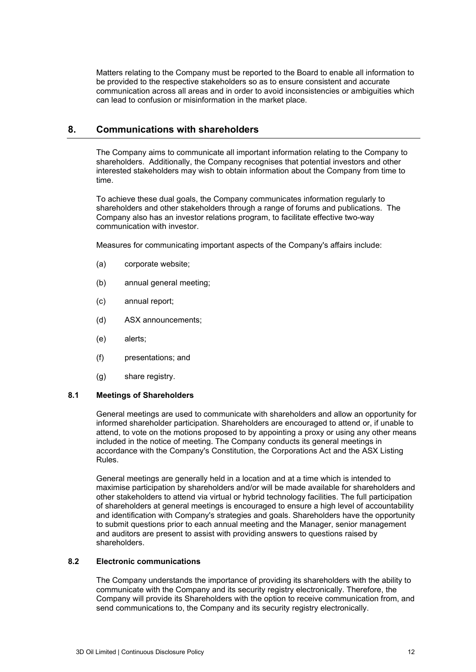Matters relating to the Company must be reported to the Board to enable all information to be provided to the respective stakeholders so as to ensure consistent and accurate communication across all areas and in order to avoid inconsistencies or ambiguities which can lead to confusion or misinformation in the market place.

# **8. Communications with shareholders**

The Company aims to communicate all important information relating to the Company to shareholders. Additionally, the Company recognises that potential investors and other interested stakeholders may wish to obtain information about the Company from time to time.

To achieve these dual goals, the Company communicates information regularly to shareholders and other stakeholders through a range of forums and publications. The Company also has an investor relations program, to facilitate effective two-way communication with investor.

Measures for communicating important aspects of the Company's affairs include:

- (a) corporate website;
- (b) annual general meeting;
- (c) annual report;
- (d) ASX announcements;
- (e) alerts;
- (f) presentations; and
- (g) share registry.

#### **8.1 Meetings of Shareholders**

General meetings are used to communicate with shareholders and allow an opportunity for informed shareholder participation. Shareholders are encouraged to attend or, if unable to attend, to vote on the motions proposed to by appointing a proxy or using any other means included in the notice of meeting. The Company conducts its general meetings in accordance with the Company's Constitution, the Corporations Act and the ASX Listing Rules.

General meetings are generally held in a location and at a time which is intended to maximise participation by shareholders and/or will be made available for shareholders and other stakeholders to attend via virtual or hybrid technology facilities. The full participation of shareholders at general meetings is encouraged to ensure a high level of accountability and identification with Company's strategies and goals. Shareholders have the opportunity to submit questions prior to each annual meeting and the Manager, senior management and auditors are present to assist with providing answers to questions raised by shareholders.

#### **8.2 Electronic communications**

The Company understands the importance of providing its shareholders with the ability to communicate with the Company and its security registry electronically. Therefore, the Company will provide its Shareholders with the option to receive communication from, and send communications to, the Company and its security registry electronically.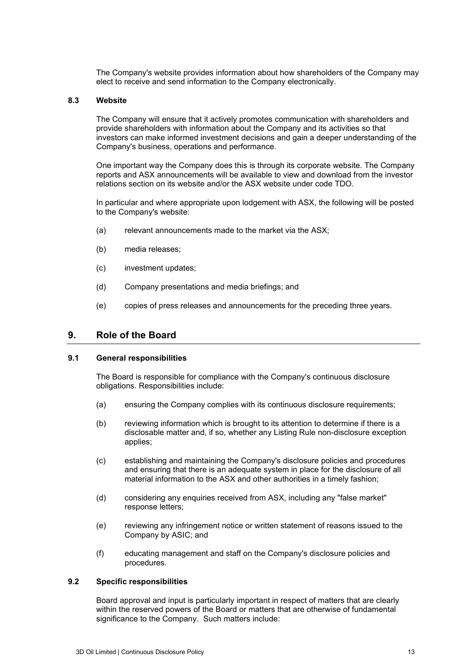The Company's website provides information about how shareholders of the Company may elect to receive and send information to the Company electronically.

#### **8.3 Website**

The Company will ensure that it actively promotes communication with shareholders and provide shareholders with information about the Company and its activities so that investors can make informed investment decisions and gain a deeper understanding of the Company's business, operations and performance.

One important way the Company does this is through its corporate website. The Company reports and ASX announcements will be available to view and download from the investor relations section on its website and/or the ASX website under code TDO.

In particular and where appropriate upon lodgement with ASX, the following will be posted to the Company's website:

- (a) relevant announcements made to the market via the ASX;
- (b) media releases;
- (c) investment updates;
- (d) Company presentations and media briefings; and
- (e) copies of press releases and announcements for the preceding three years.

# <span id="page-12-0"></span>**9. Role of the Board**

#### **9.1 General responsibilities**

The Board is responsible for compliance with the Company's continuous disclosure obligations. Responsibilities include:

- (a) ensuring the Company complies with its continuous disclosure requirements;
- (b) reviewing information which is brought to its attention to determine if there is a disclosable matter and, if so, whether any Listing Rule non-disclosure exception applies;
- (c) establishing and maintaining the Company's disclosure policies and procedures and ensuring that there is an adequate system in place for the disclosure of all material information to the ASX and other authorities in a timely fashion;
- (d) considering any enquiries received from ASX, including any "false market" response letters;
- (e) reviewing any infringement notice or written statement of reasons issued to the Company by ASIC; and
- (f) educating management and staff on the Company's disclosure policies and procedures.

#### **9.2 Specific responsibilities**

Board approval and input is particularly important in respect of matters that are clearly within the reserved powers of the Board or matters that are otherwise of fundamental significance to the Company. Such matters include: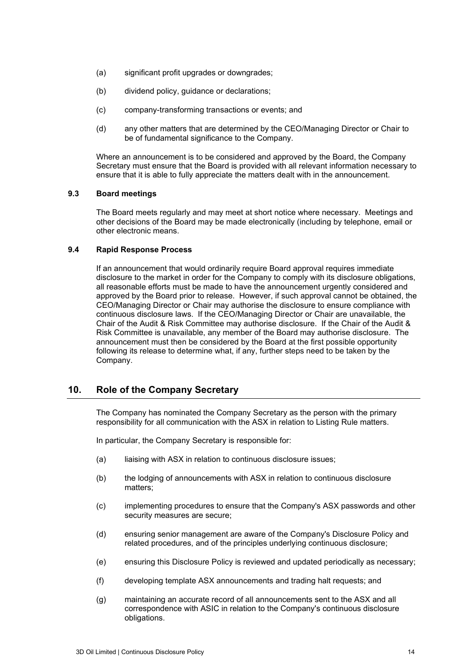- (a) significant profit upgrades or downgrades;
- (b) dividend policy, guidance or declarations;
- (c) company-transforming transactions or events; and
- (d) any other matters that are determined by the CEO/Managing Director or Chair to be of fundamental significance to the Company.

Where an announcement is to be considered and approved by the Board, the Company Secretary must ensure that the Board is provided with all relevant information necessary to ensure that it is able to fully appreciate the matters dealt with in the announcement.

#### **9.3 Board meetings**

The Board meets regularly and may meet at short notice where necessary. Meetings and other decisions of the Board may be made electronically (including by telephone, email or other electronic means.

#### **9.4 Rapid Response Process**

If an announcement that would ordinarily require Board approval requires immediate disclosure to the market in order for the Company to comply with its disclosure obligations, all reasonable efforts must be made to have the announcement urgently considered and approved by the Board prior to release. However, if such approval cannot be obtained, the CEO/Managing Director or Chair may authorise the disclosure to ensure compliance with continuous disclosure laws. If the CEO/Managing Director or Chair are unavailable, the Chair of the Audit & Risk Committee may authorise disclosure. If the Chair of the Audit & Risk Committee is unavailable, any member of the Board may authorise disclosure. The announcement must then be considered by the Board at the first possible opportunity following its release to determine what, if any, further steps need to be taken by the Company.

# <span id="page-13-0"></span>**10. Role of the Company Secretary**

The Company has nominated the Company Secretary as the person with the primary responsibility for all communication with the ASX in relation to Listing Rule matters.

In particular, the Company Secretary is responsible for:

- (a) liaising with ASX in relation to continuous disclosure issues;
- (b) the lodging of announcements with ASX in relation to continuous disclosure matters;
- (c) implementing procedures to ensure that the Company's ASX passwords and other security measures are secure;
- (d) ensuring senior management are aware of the Company's Disclosure Policy and related procedures, and of the principles underlying continuous disclosure;
- (e) ensuring this Disclosure Policy is reviewed and updated periodically as necessary;
- (f) developing template ASX announcements and trading halt requests; and
- (g) maintaining an accurate record of all announcements sent to the ASX and all correspondence with ASIC in relation to the Company's continuous disclosure obligations.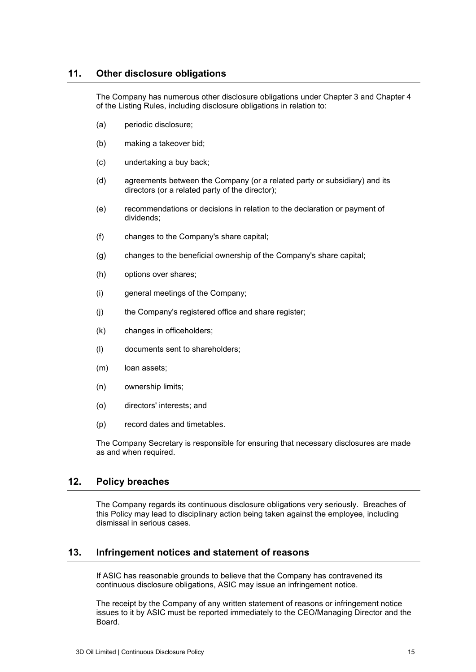# **11. Other disclosure obligations**

The Company has numerous other disclosure obligations under Chapter 3 and Chapter 4 of the Listing Rules, including disclosure obligations in relation to:

- (a) periodic disclosure;
- (b) making a takeover bid;
- (c) undertaking a buy back;
- (d) agreements between the Company (or a related party or subsidiary) and its directors (or a related party of the director);
- (e) recommendations or decisions in relation to the declaration or payment of dividends;
- (f) changes to the Company's share capital;
- (g) changes to the beneficial ownership of the Company's share capital;
- (h) options over shares;
- (i) general meetings of the Company;
- (j) the Company's registered office and share register;
- (k) changes in officeholders;
- (l) documents sent to shareholders;
- (m) loan assets;
- (n) ownership limits;
- (o) directors' interests; and
- (p) record dates and timetables.

The Company Secretary is responsible for ensuring that necessary disclosures are made as and when required.

# **12. Policy breaches**

The Company regards its continuous disclosure obligations very seriously. Breaches of this Policy may lead to disciplinary action being taken against the employee, including dismissal in serious cases.

# **13. Infringement notices and statement of reasons**

If ASIC has reasonable grounds to believe that the Company has contravened its continuous disclosure obligations, ASIC may issue an infringement notice.

The receipt by the Company of any written statement of reasons or infringement notice issues to it by ASIC must be reported immediately to the CEO/Managing Director and the Board.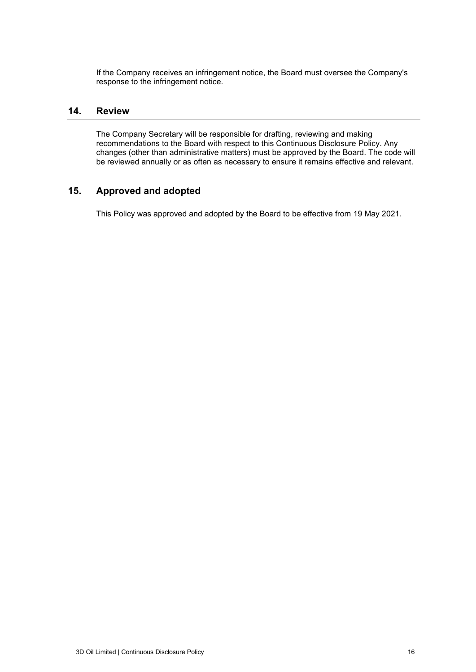If the Company receives an infringement notice, the Board must oversee the Company's response to the infringement notice.

# **14. Review**

The Company Secretary will be responsible for drafting, reviewing and making recommendations to the Board with respect to this Continuous Disclosure Policy. Any changes (other than administrative matters) must be approved by the Board. The code will be reviewed annually or as often as necessary to ensure it remains effective and relevant.

# **15. Approved and adopted**

This Policy was approved and adopted by the Board to be effective from 19 May 2021.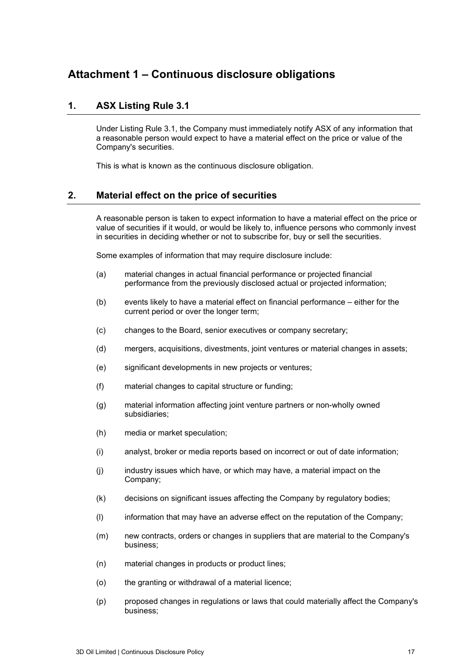# <span id="page-16-1"></span>**Attachment 1 – Continuous disclosure obligations**

# **1. ASX Listing Rule 3.1**

Under Listing Rule 3.1, the Company must immediately notify ASX of any information that a reasonable person would expect to have a material effect on the price or value of the Company's securities.

This is what is known as the continuous disclosure obligation.

# <span id="page-16-0"></span>**2. Material effect on the price of securities**

A reasonable person is taken to expect information to have a material effect on the price or value of securities if it would, or would be likely to, influence persons who commonly invest in securities in deciding whether or not to subscribe for, buy or sell the securities.

Some examples of information that may require disclosure include:

- (a) material changes in actual financial performance or projected financial performance from the previously disclosed actual or projected information;
- (b) events likely to have a material effect on financial performance either for the current period or over the longer term;
- (c) changes to the Board, senior executives or company secretary;
- (d) mergers, acquisitions, divestments, joint ventures or material changes in assets;
- (e) significant developments in new projects or ventures;
- (f) material changes to capital structure or funding;
- (g) material information affecting joint venture partners or non-wholly owned subsidiaries;
- (h) media or market speculation;
- (i) analyst, broker or media reports based on incorrect or out of date information;
- (j) industry issues which have, or which may have, a material impact on the Company;
- (k) decisions on significant issues affecting the Company by regulatory bodies;
- (l) information that may have an adverse effect on the reputation of the Company;
- (m) new contracts, orders or changes in suppliers that are material to the Company's business;
- (n) material changes in products or product lines;
- (o) the granting or withdrawal of a material licence;
- (p) proposed changes in regulations or laws that could materially affect the Company's business;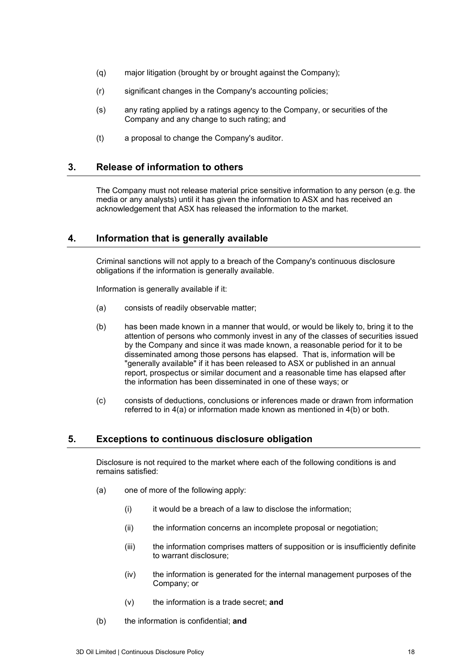- (q) major litigation (brought by or brought against the Company);
- (r) significant changes in the Company's accounting policies;
- (s) any rating applied by a ratings agency to the Company, or securities of the Company and any change to such rating; and
- (t) a proposal to change the Company's auditor.

# **3. Release of information to others**

The Company must not release material price sensitive information to any person (e.g. the media or any analysts) until it has given the information to ASX and has received an acknowledgement that ASX has released the information to the market.

# <span id="page-17-0"></span>**4. Information that is generally available**

Criminal sanctions will not apply to a breach of the Company's continuous disclosure obligations if the information is generally available.

Information is generally available if it:

- <span id="page-17-1"></span>(a) consists of readily observable matter;
- <span id="page-17-2"></span>(b) has been made known in a manner that would, or would be likely to, bring it to the attention of persons who commonly invest in any of the classes of securities issued by the Company and since it was made known, a reasonable period for it to be disseminated among those persons has elapsed. That is, information will be "generally available" if it has been released to ASX or published in an annual report, prospectus or similar document and a reasonable time has elapsed after the information has been disseminated in one of these ways; or
- (c) consists of deductions, conclusions or inferences made or drawn from information referred to in [4](#page-17-0)[\(a\)](#page-17-1) or information made known as mentioned in [4](#page-17-0)[\(b\)](#page-17-2) or both.

#### <span id="page-17-3"></span>**5. Exceptions to continuous disclosure obligation**

Disclosure is not required to the market where each of the following conditions is and remains satisfied:

- (a) one of more of the following apply:
	- $(i)$  it would be a breach of a law to disclose the information;
	- (ii) the information concerns an incomplete proposal or negotiation;
	- (iii) the information comprises matters of supposition or is insufficiently definite to warrant disclosure;
	- (iv) the information is generated for the internal management purposes of the Company; or
	- (v) the information is a trade secret; **and**
- (b) the information is confidential; **and**